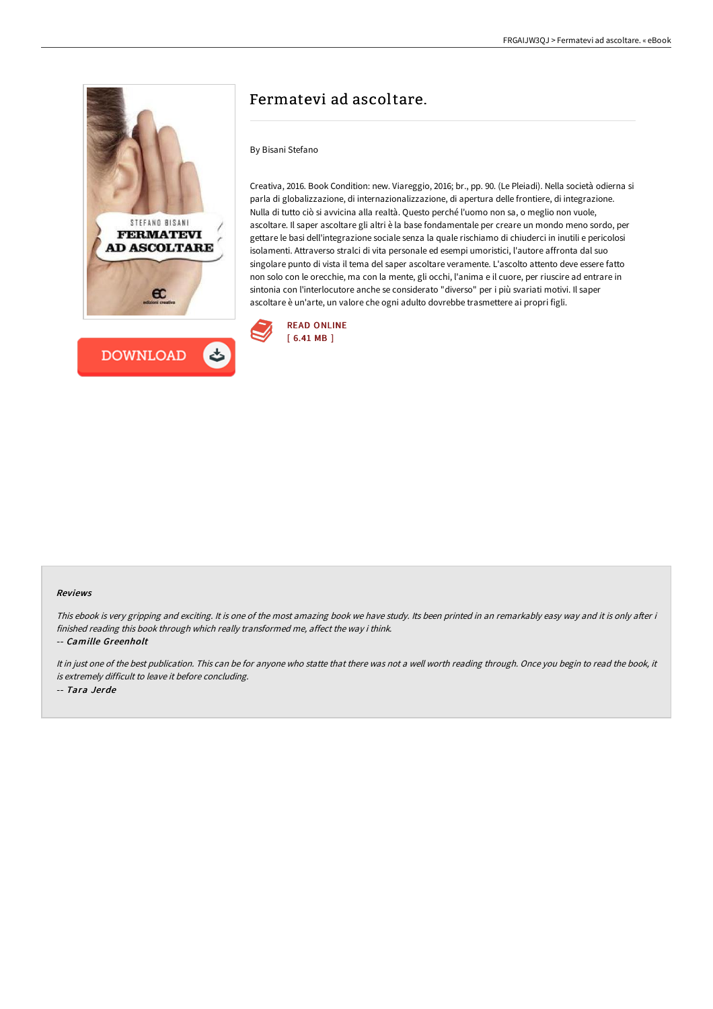



# Fermatevi ad ascoltare.

## By Bisani Stefano

Creativa, 2016. Book Condition: new. Viareggio, 2016; br., pp. 90. (Le Pleiadi). Nella società odierna si parla di globalizzazione, di internazionalizzazione, di apertura delle frontiere, di integrazione. Nulla di tutto ciò si avvicina alla realtà. Questo perché l'uomo non sa, o meglio non vuole, ascoltare. Il saper ascoltare gli altri è la base fondamentale per creare un mondo meno sordo, per gettare le basi dell'integrazione sociale senza la quale rischiamo di chiuderci in inutili e pericolosi isolamenti. Attraverso stralci di vita personale ed esempi umoristici, l'autore affronta dal suo singolare punto di vista il tema del saper ascoltare veramente. L'ascolto attento deve essere fatto non solo con le orecchie, ma con la mente, gli occhi, l'anima e il cuore, per riuscire ad entrare in sintonia con l'interlocutore anche se considerato "diverso" per i più svariati motivi. Il saper ascoltare è un'arte, un valore che ogni adulto dovrebbe trasmettere ai propri figli.



#### Reviews

This ebook is very gripping and exciting. It is one of the most amazing book we have study. Its been printed in an remarkably easy way and it is only after i finished reading this book through which really transformed me, affect the way i think.

-- Camille Greenholt

It in just one of the best publication. This can be for anyone who statte that there was not <sup>a</sup> well worth reading through. Once you begin to read the book, it is extremely difficult to leave it before concluding.

-- Tara Jerde